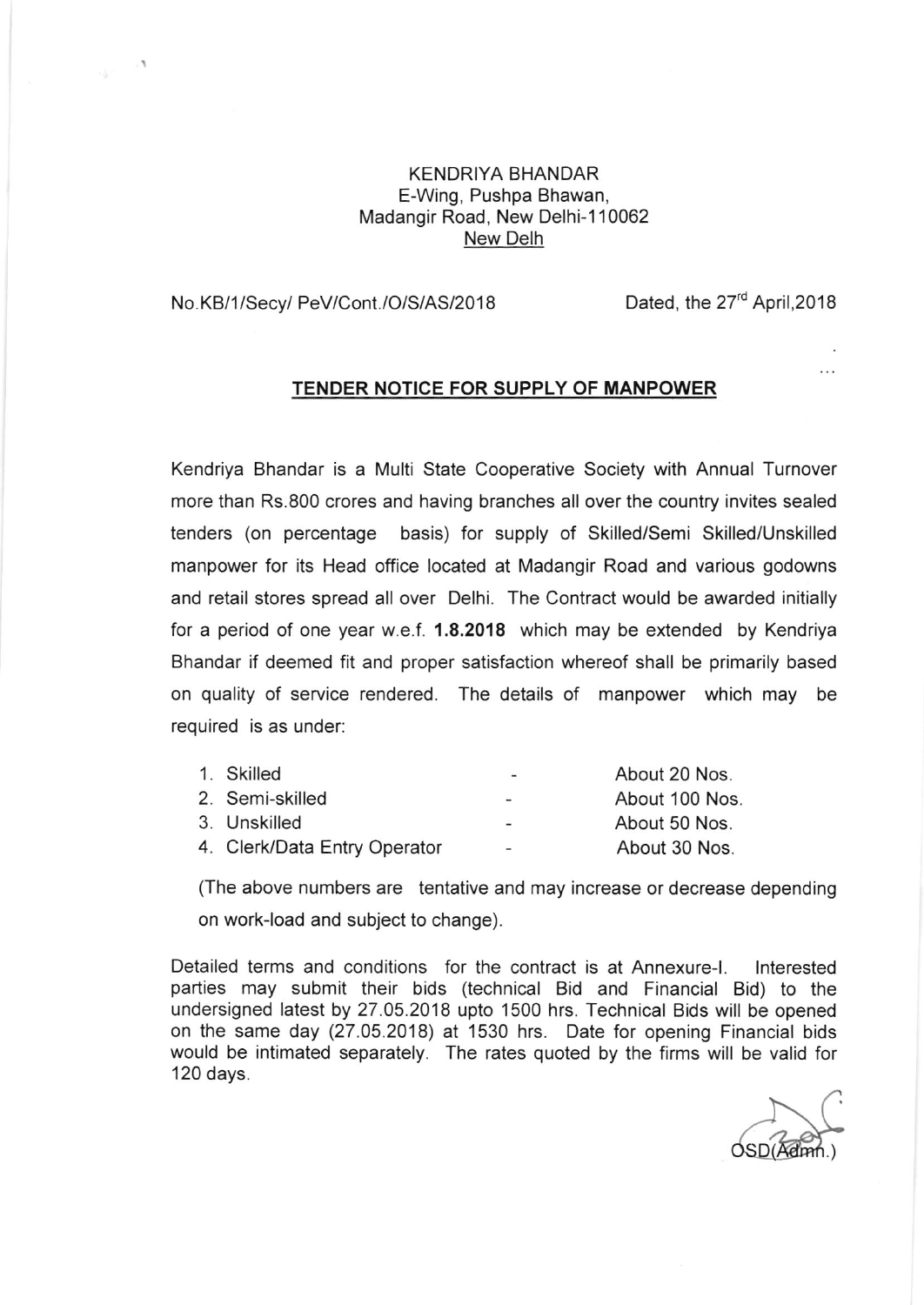## KENDRIYA BHANDAR E-Wing, Pushpa Bhawan, Madangir Road, New Delhi-1 10062 New Delh

## No. KB/1/Secy/ PeV/Cont./O/S/AS/2018 Dated, the 27<sup>rd</sup> April, 2018

 $\mathcal{L}$ 

## TENDER NOTICE FOR SUPPLY OF MANPOWER

Kendriya Bhandar is a Multi State Cooperative Society with Annual Turnover more than Rs.800 crores and having branches all over the country invites sealed tenders (on percentage basis) for supply of Skilled/Semi Skilled/Unskilled manpower for its Head office located at Madangir Road and various godowns and retail stores spread all over Delhi. The Contract would be awarded initially for a period of one year w.e.f. 1.8.2018 which may be extended by Kendriya Bhandar if deemed fit and proper satisfaction whereof shall be primarily based on quality of service rendered. The details of manpower which may be required is as under:

| 1. Skilled                   | $\overline{\phantom{0}}$ | About 20 Nos.  |
|------------------------------|--------------------------|----------------|
| 2. Semi-skilled              | $\overline{\phantom{0}}$ | About 100 Nos. |
| 3. Unskilled                 | $\overline{\phantom{0}}$ | About 50 Nos.  |
| 4. Clerk/Data Entry Operator | $\overline{\phantom{a}}$ | About 30 Nos.  |

(The above numbers are tentative and may increase or decrease depending on work-load and subject to change).

Detailed terms and conditions for the contract is at Annexure-|. lnterested parties may submit their bids (technical Bid and Financial Bid) to the undersigned latest by 27.05.2018 upto 1500 hrs. Technical Bids will be opened on the same day (27.05.2018) at 1530 hrs. Date for opening Financial bids would be intimated separately. The rates quoted by the firms will be valid for 120 days.